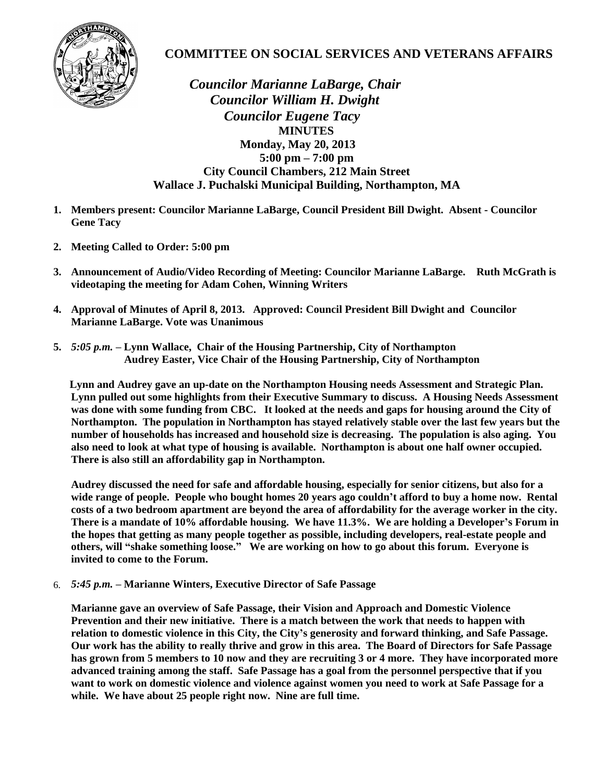

## **COMMITTEE ON SOCIAL SERVICES AND VETERANS AFFAIRS**

 *Councilor Marianne LaBarge, Chair Councilor William H. Dwight Councilor Eugene Tacy*  **MINUTES Monday, May 20, 2013 5:00 pm – 7:00 pm City Council Chambers, 212 Main Street Wallace J. Puchalski Municipal Building, Northampton, MA**

- **1. Members present: Councilor Marianne LaBarge, Council President Bill Dwight. Absent Councilor Gene Tacy**
- **2. Meeting Called to Order: 5:00 pm**
- **3. Announcement of Audio/Video Recording of Meeting: Councilor Marianne LaBarge. Ruth McGrath is videotaping the meeting for Adam Cohen, Winning Writers**
- **4. Approval of Minutes of April 8, 2013. Approved: Council President Bill Dwight and Councilor Marianne LaBarge. Vote was Unanimous**
- **5.** *5:05 p.m.* **– Lynn Wallace, Chair of the Housing Partnership, City of Northampton Audrey Easter, Vice Chair of the Housing Partnership, City of Northampton**

 **Lynn and Audrey gave an up-date on the Northampton Housing needs Assessment and Strategic Plan. Lynn pulled out some highlights from their Executive Summary to discuss. A Housing Needs Assessment was done with some funding from CBC. It looked at the needs and gaps for housing around the City of Northampton. The population in Northampton has stayed relatively stable over the last few years but the number of households has increased and household size is decreasing. The population is also aging. You also need to look at what type of housing is available. Northampton is about one half owner occupied. There is also still an affordability gap in Northampton.**

**Audrey discussed the need for safe and affordable housing, especially for senior citizens, but also for a wide range of people. People who bought homes 20 years ago couldn't afford to buy a home now. Rental costs of a two bedroom apartment are beyond the area of affordability for the average worker in the city. There is a mandate of 10% affordable housing. We have 11.3%. We are holding a Developer's Forum in the hopes that getting as many people together as possible, including developers, real-estate people and others, will "shake something loose." We are working on how to go about this forum. Everyone is invited to come to the Forum.**

6. *5:45 p.m.* **– Marianne Winters, Executive Director of Safe Passage**

**Marianne gave an overview of Safe Passage, their Vision and Approach and Domestic Violence Prevention and their new initiative. There is a match between the work that needs to happen with relation to domestic violence in this City, the City's generosity and forward thinking, and Safe Passage. Our work has the ability to really thrive and grow in this area. The Board of Directors for Safe Passage has grown from 5 members to 10 now and they are recruiting 3 or 4 more. They have incorporated more advanced training among the staff. Safe Passage has a goal from the personnel perspective that if you want to work on domestic violence and violence against women you need to work at Safe Passage for a while. We have about 25 people right now. Nine are full time.**